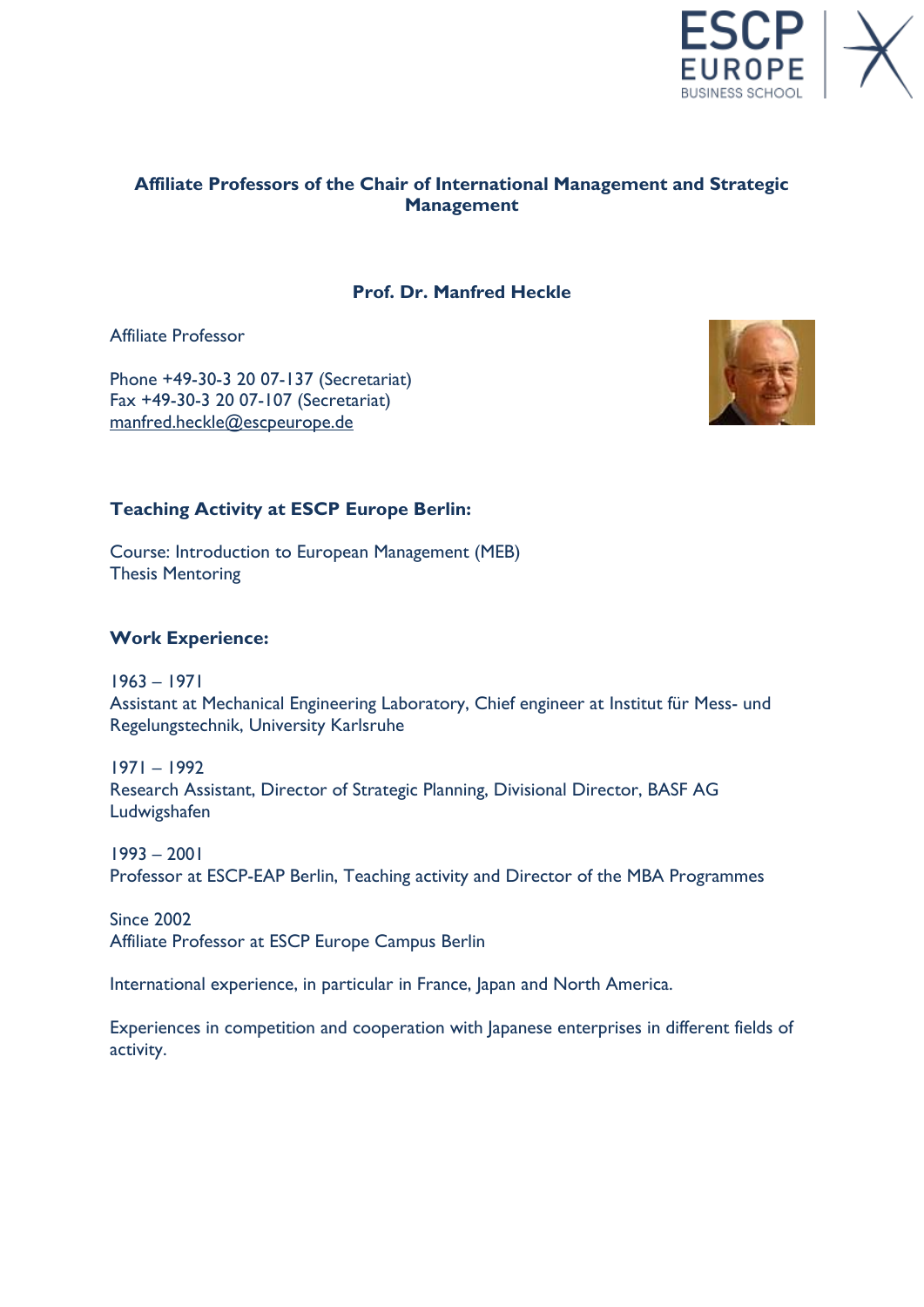

# **Affiliate Professors of the Chair of International Management and Strategic Management**

## **Prof. Dr. Manfred Heckle**

Affiliate Professor

Phone +49-30-3 20 07-137 (Secretariat) Fax +49-30-3 20 07-107 (Secretariat) [manfred.heckle@escpeurope.de](mailto:manfred.heckle@escpeurope.de)



## **Teaching Activity at ESCP Europe Berlin:**

Course: Introduction to European Management (MEB) Thesis Mentoring

#### **Work Experience:**

1963 – 1971 Assistant at Mechanical Engineering Laboratory, Chief engineer at Institut für Mess- und Regelungstechnik, University Karlsruhe

1971 – 1992 Research Assistant, Director of Strategic Planning, Divisional Director, BASF AG Ludwigshafen

1993 – 2001 Professor at ESCP-EAP Berlin, Teaching activity and Director of the MBA Programmes

Since 2002 Affiliate Professor at ESCP Europe Campus Berlin

International experience, in particular in France, Japan and North America.

Experiences in competition and cooperation with Japanese enterprises in different fields of activity.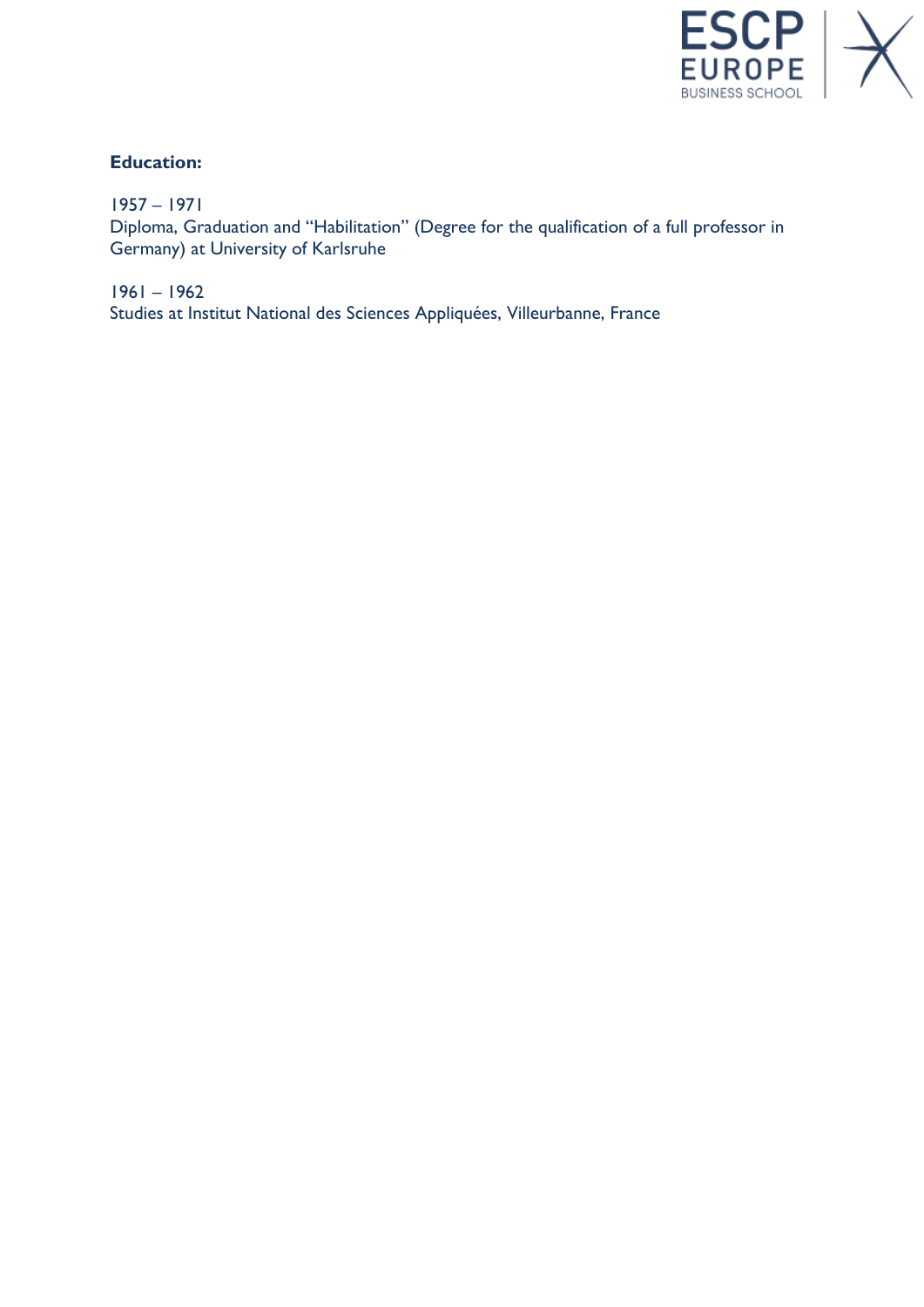

# **Education:**

1957 – 1971

Diploma, Graduation and "Habilitation" (Degree for the qualification of a full professor in Germany) at University of Karlsruhe

1961 – 1962 Studies at Institut National des Sciences Appliquées, Villeurbanne, France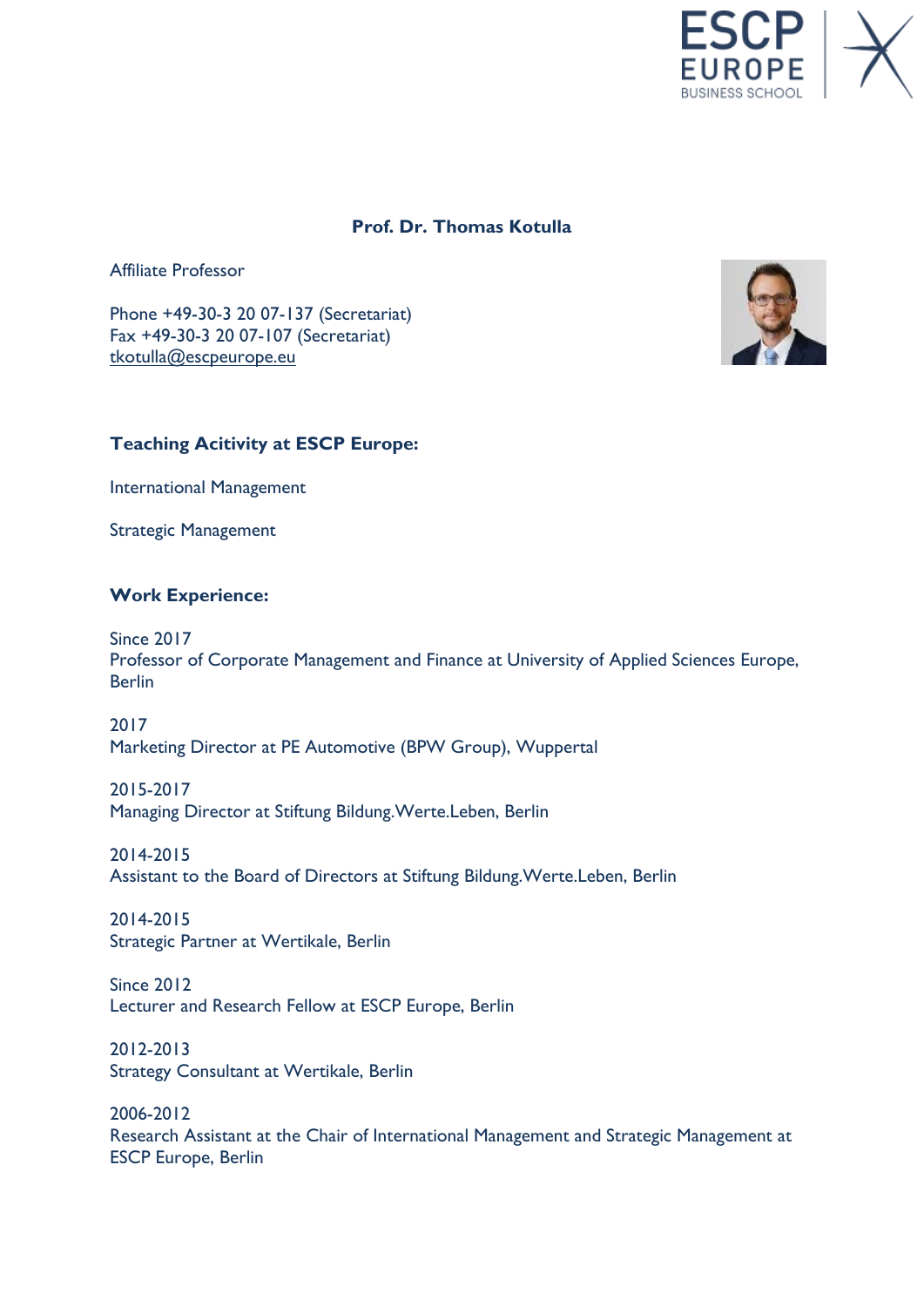

## **Prof. Dr. Thomas Kotulla**

Affiliate Professor

Phone +49-30-3 20 07-137 (Secretariat) Fax +49-30-3 20 07-107 (Secretariat) [tkotulla@escpeurope.eu](mailto:tkotulla@escpeurope.eu)



#### **Teaching Acitivity at ESCP Europe:**

International Management

Strategic Management

#### **Work Experience:**

Since 2017 Professor of Corporate Management and Finance at University of Applied Sciences Europe, Berlin

2017 Marketing Director at PE Automotive (BPW Group), Wuppertal

2015-2017 Managing Director at Stiftung Bildung.Werte.Leben, Berlin

2014-2015 Assistant to the Board of Directors at Stiftung Bildung.Werte.Leben, Berlin

2014-2015 Strategic Partner at Wertikale, Berlin

Since 2012 Lecturer and Research Fellow at ESCP Europe, Berlin

2012-2013 Strategy Consultant at Wertikale, Berlin

2006-2012 Research Assistant at the Chair of International Management and Strategic Management at ESCP Europe, Berlin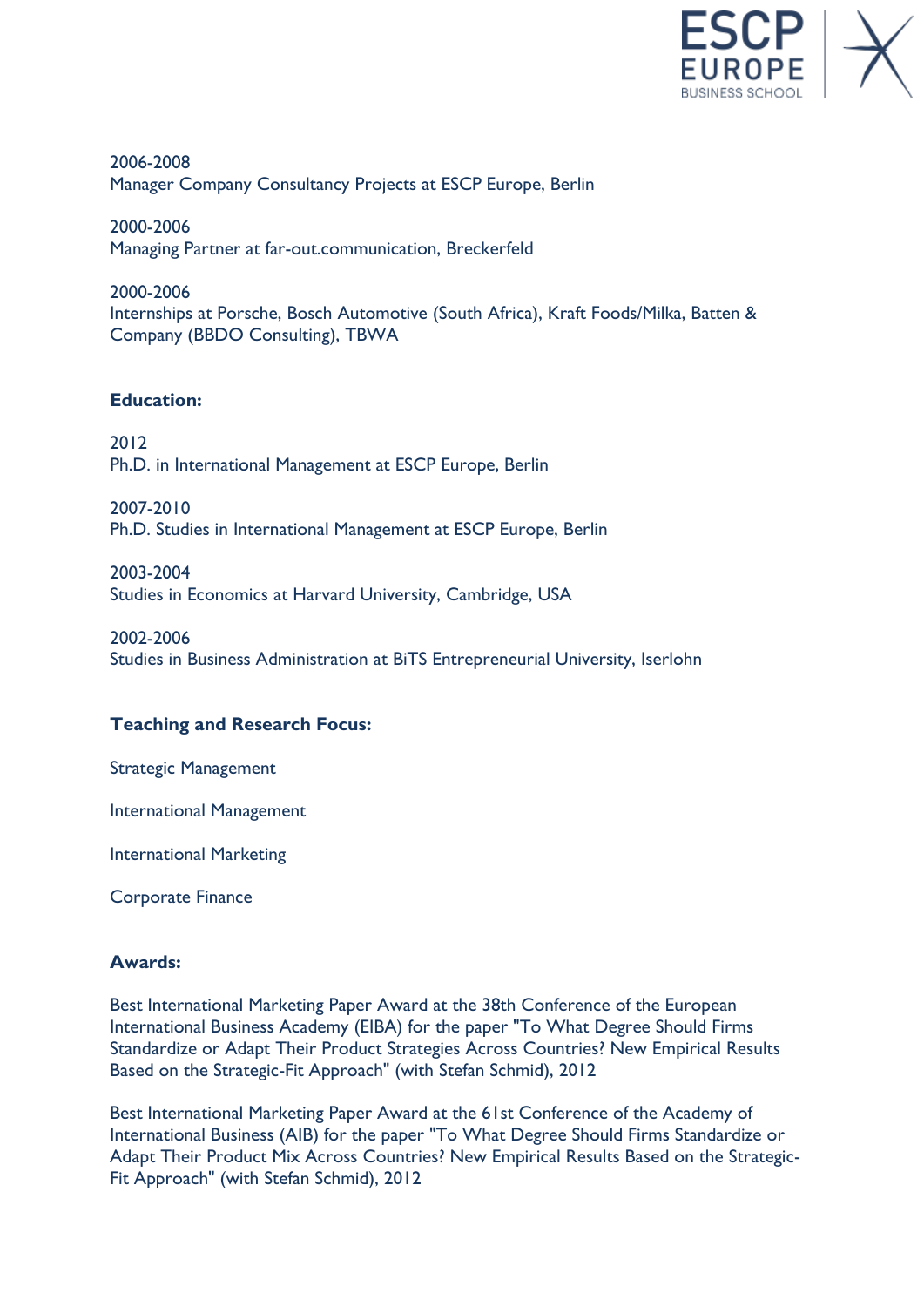

2006-2008 Manager Company Consultancy Projects at ESCP Europe, Berlin

2000-2006 Managing Partner at far-out.communication, Breckerfeld

2000-2006 Internships at Porsche, Bosch Automotive (South Africa), Kraft Foods/Milka, Batten & Company (BBDO Consulting), TBWA

## **Education:**

2012 Ph.D. in International Management at ESCP Europe, Berlin

2007-2010 Ph.D. Studies in International Management at ESCP Europe, Berlin

2003-2004 Studies in Economics at Harvard University, Cambridge, USA

2002-2006 Studies in Business Administration at BiTS Entrepreneurial University, Iserlohn

# **Teaching and Research Focus:**

Strategic Management

International Management

International Marketing

Corporate Finance

## **Awards:**

Best International Marketing Paper Award at the 38th Conference of the European International Business Academy (EIBA) for the paper "To What Degree Should Firms Standardize or Adapt Their Product Strategies Across Countries? New Empirical Results Based on the Strategic-Fit Approach" (with Stefan Schmid), 2012

Best International Marketing Paper Award at the 61st Conference of the Academy of International Business (AIB) for the paper "To What Degree Should Firms Standardize or Adapt Their Product Mix Across Countries? New Empirical Results Based on the Strategic-Fit Approach" (with Stefan Schmid), 2012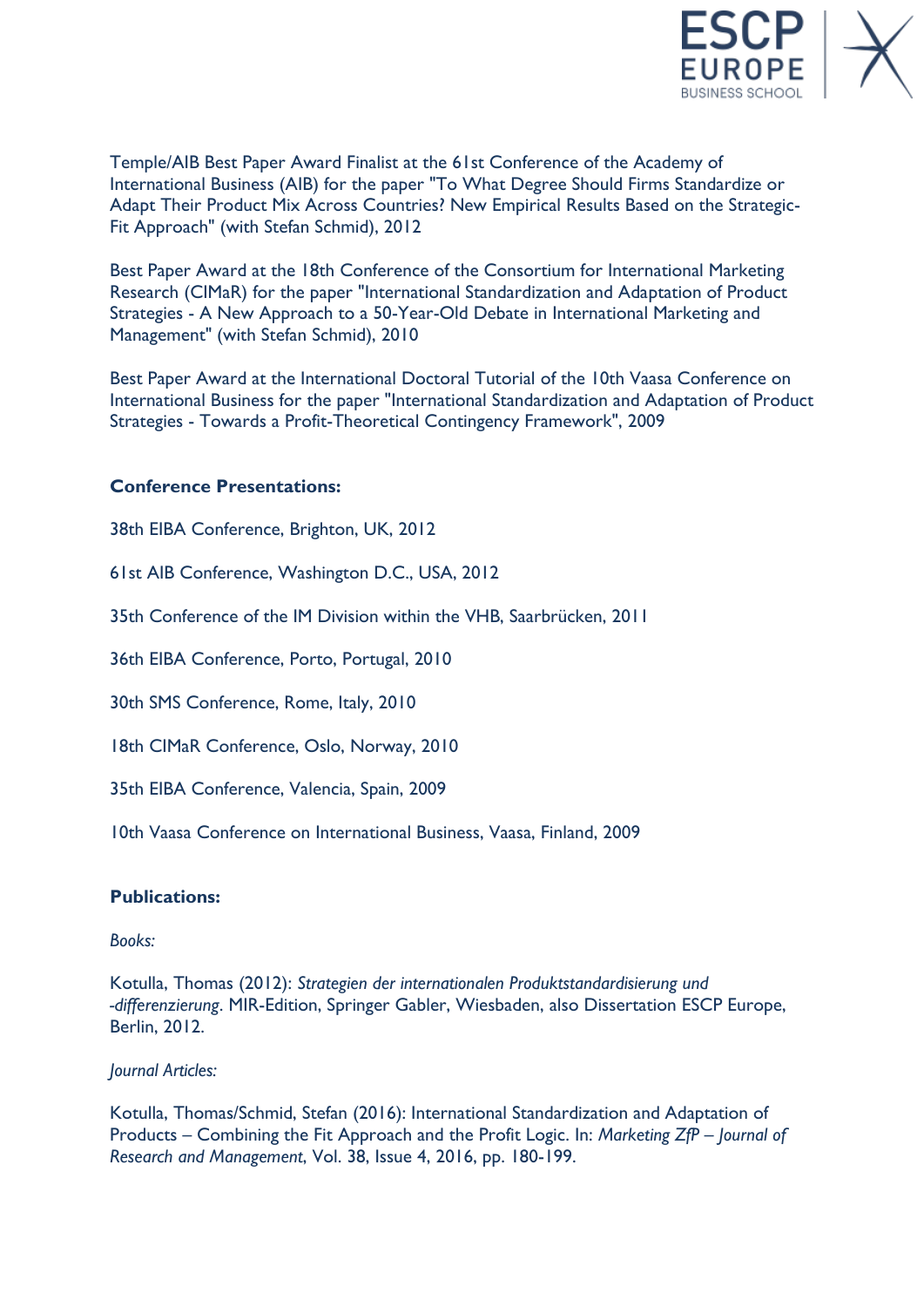

Temple/AIB Best Paper Award Finalist at the 61st Conference of the Academy of International Business (AIB) for the paper "To What Degree Should Firms Standardize or Adapt Their Product Mix Across Countries? New Empirical Results Based on the Strategic-Fit Approach" (with Stefan Schmid), 2012

Best Paper Award at the 18th Conference of the Consortium for International Marketing Research (CIMaR) for the paper "International Standardization and Adaptation of Product Strategies - A New Approach to a 50-Year-Old Debate in International Marketing and Management" (with Stefan Schmid), 2010

Best Paper Award at the International Doctoral Tutorial of the 10th Vaasa Conference on International Business for the paper "International Standardization and Adaptation of Product Strategies - Towards a Profit-Theoretical Contingency Framework", 2009

## **Conference Presentations:**

38th EIBA Conference, Brighton, UK, 2012

61st AIB Conference, Washington D.C., USA, 2012

35th Conference of the IM Division within the VHB, Saarbrücken, 2011

36th EIBA Conference, Porto, Portugal, 2010

30th SMS Conference, Rome, Italy, 2010

18th CIMaR Conference, Oslo, Norway, 2010

35th EIBA Conference, Valencia, Spain, 2009

10th Vaasa Conference on International Business, Vaasa, Finland, 2009

## **Publications:**

#### *Books:*

Kotulla, Thomas (2012): *Strategien der internationalen Produktstandardisierung und -differenzierung*. MIR-Edition, Springer Gabler, Wiesbaden, also Dissertation ESCP Europe, Berlin, 2012.

#### *Journal Articles:*

Kotulla, Thomas/Schmid, Stefan (2016): International Standardization and Adaptation of Products – Combining the Fit Approach and the Profit Logic. In: *Marketing ZfP – Journal of Research and Management*, Vol. 38, Issue 4, 2016, pp. 180-199.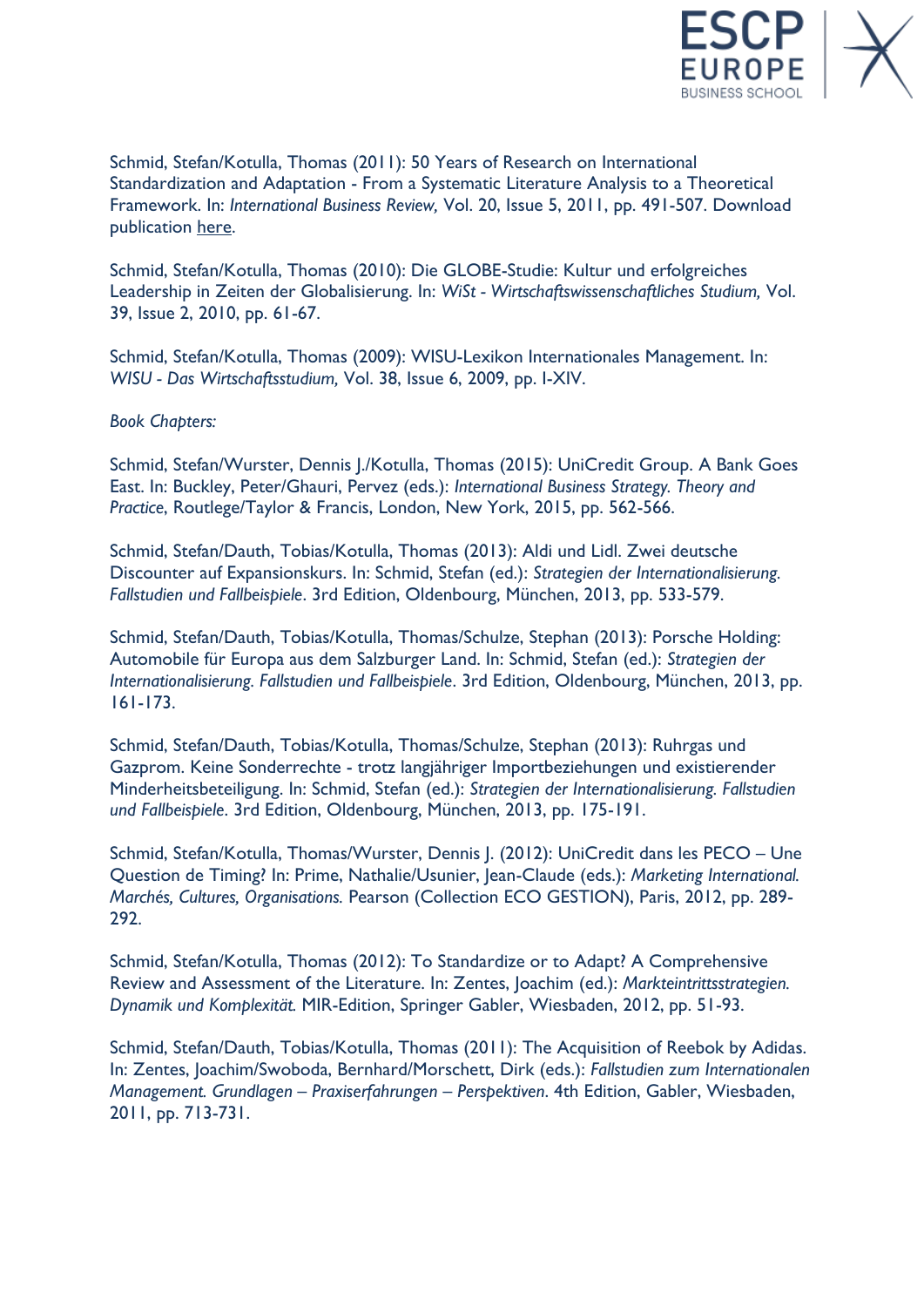

Schmid, Stefan/Kotulla, Thomas (2011): 50 Years of Research on International Standardization and Adaptation - From a Systematic Literature Analysis to a Theoretical Framework. In: *International Business Review,* Vol. 20, Issue 5, 2011, pp. 491-507. Download publication [here.](http://linkinghub.elsevier.com/retrieve/pii/S0969593110001125)

Schmid, Stefan/Kotulla, Thomas (2010): Die GLOBE-Studie: Kultur und erfolgreiches Leadership in Zeiten der Globalisierung. In: *WiSt - Wirtschaftswissenschaftliches Studium,* Vol. 39, Issue 2, 2010, pp. 61-67.

Schmid, Stefan/Kotulla, Thomas (2009): WISU-Lexikon Internationales Management. In: *WISU - Das Wirtschaftsstudium,* Vol. 38, Issue 6, 2009, pp. I-XIV.

*Book Chapters:*

Schmid, Stefan/Wurster, Dennis J./Kotulla, Thomas (2015): UniCredit Group. A Bank Goes East. In: Buckley, Peter/Ghauri, Pervez (eds.): *International Business Strategy. Theory and Practice*, Routlege/Taylor & Francis, London, New York, 2015, pp. 562-566.

Schmid, Stefan/Dauth, Tobias/Kotulla, Thomas (2013): Aldi und Lidl. Zwei deutsche Discounter auf Expansionskurs. In: Schmid, Stefan (ed.): *Strategien der Internationalisierung. Fallstudien und Fallbeispiele*. 3rd Edition, Oldenbourg, München, 2013, pp. 533-579.

Schmid, Stefan/Dauth, Tobias/Kotulla, Thomas/Schulze, Stephan (2013): Porsche Holding: Automobile für Europa aus dem Salzburger Land. In: Schmid, Stefan (ed.): *Strategien der Internationalisierung. Fallstudien und Fallbeispiele*. 3rd Edition, Oldenbourg, München, 2013, pp. 161-173.

Schmid, Stefan/Dauth, Tobias/Kotulla, Thomas/Schulze, Stephan (2013): Ruhrgas und Gazprom. Keine Sonderrechte - trotz langjähriger Importbeziehungen und existierender Minderheitsbeteiligung. In: Schmid, Stefan (ed.): *Strategien der Internationalisierung. Fallstudien und Fallbeispiele*. 3rd Edition, Oldenbourg, München, 2013, pp. 175-191.

Schmid, Stefan/Kotulla, Thomas/Wurster, Dennis J. (2012): UniCredit dans les PECO – Une Question de Timing? In: Prime, Nathalie/Usunier, Jean-Claude (eds.): *Marketing International. Marchés, Cultures, Organisations.* Pearson (Collection ECO GESTION), Paris, 2012, pp. 289- 292.

Schmid, Stefan/Kotulla, Thomas (2012): To Standardize or to Adapt? A Comprehensive Review and Assessment of the Literature. In: Zentes, Joachim (ed.): *Markteintrittsstrategien. Dynamik und Komplexität.* MIR-Edition, Springer Gabler, Wiesbaden, 2012, pp. 51-93.

Schmid, Stefan/Dauth, Tobias/Kotulla, Thomas (2011): The Acquisition of Reebok by Adidas. In: Zentes, Joachim/Swoboda, Bernhard/Morschett, Dirk (eds.): *Fallstudien zum Internationalen Management. Grundlagen – Praxiserfahrungen – Perspektiven*. 4th Edition, Gabler, Wiesbaden, 2011, pp. 713-731.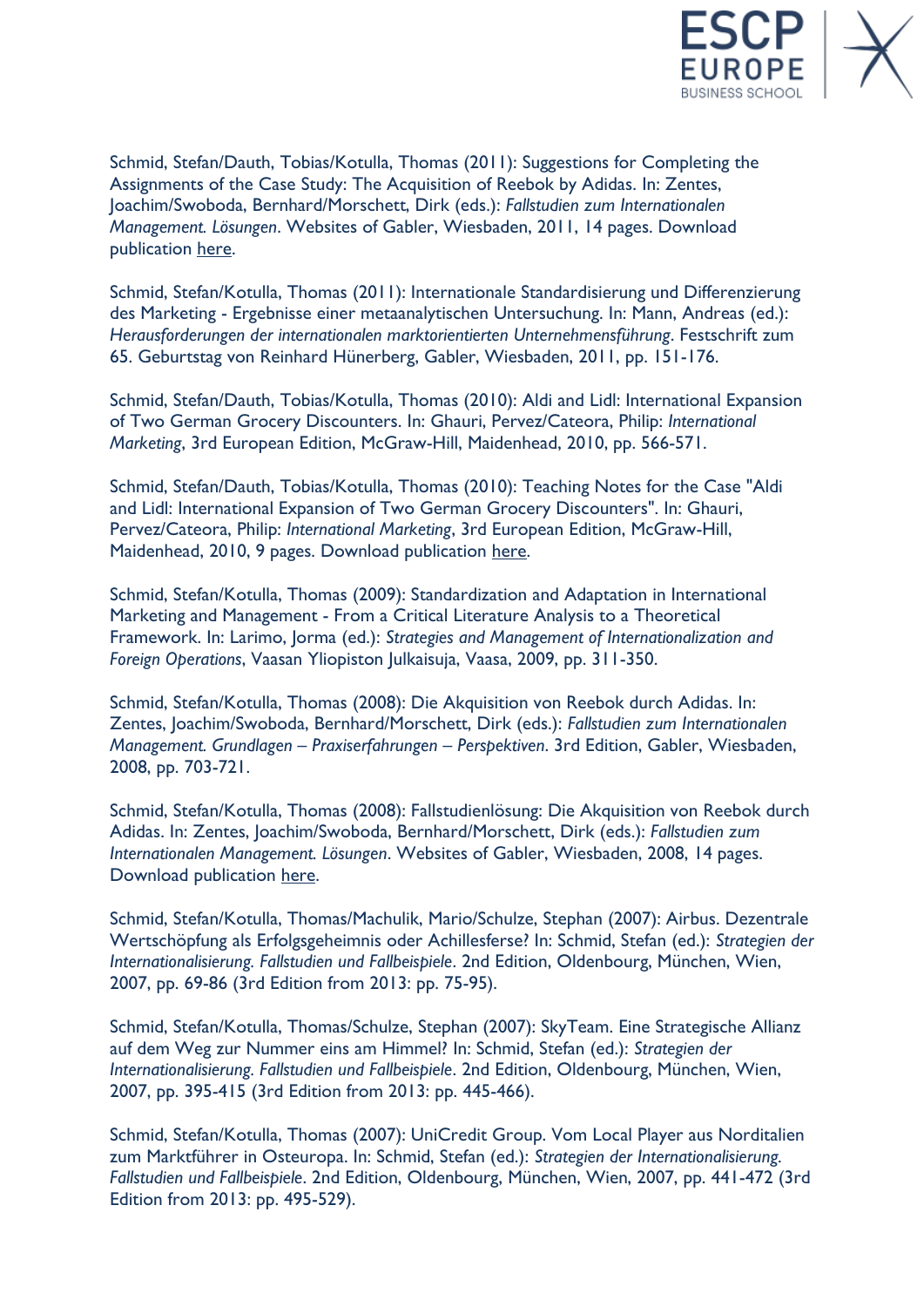

Schmid, Stefan/Dauth, Tobias/Kotulla, Thomas (2011): Suggestions for Completing the Assignments of the Case Study: The Acquisition of Reebok by Adidas. In: Zentes, Joachim/Swoboda, Bernhard/Morschett, Dirk (eds.): *Fallstudien zum Internationalen Management. Lösungen*. Websites of Gabler, Wiesbaden, 2011, 14 pages. Download publication [here.](http://www.gabler.de/Dozenten/Zusatzmaterial/978-3-8349-2967-9/Fallstudien-zum-Internationalen-Management.html)

Schmid, Stefan/Kotulla, Thomas (2011): Internationale Standardisierung und Differenzierung des Marketing - Ergebnisse einer metaanalytischen Untersuchung. In: Mann, Andreas (ed.): *Herausforderungen der internationalen marktorientierten Unternehmensführung*. Festschrift zum 65. Geburtstag von Reinhard Hünerberg, Gabler, Wiesbaden, 2011, pp. 151-176.

Schmid, Stefan/Dauth, Tobias/Kotulla, Thomas (2010): Aldi and Lidl: International Expansion of Two German Grocery Discounters. In: Ghauri, Pervez/Cateora, Philip: *International Marketing*, 3rd European Edition, McGraw-Hill, Maidenhead, 2010, pp. 566-571.

Schmid, Stefan/Dauth, Tobias/Kotulla, Thomas (2010): Teaching Notes for the Case "Aldi and Lidl: International Expansion of Two German Grocery Discounters". In: Ghauri, Pervez/Cateora, Philip: *International Marketing*, 3rd European Edition, McGraw-Hill, Maidenhead, 2010, 9 pages. Download publication [here.](https://paris.mcgraw-hill.com/paris/loginview.do?productid=0077122852)

Schmid, Stefan/Kotulla, Thomas (2009): Standardization and Adaptation in International Marketing and Management - From a Critical Literature Analysis to a Theoretical Framework. In: Larimo, Jorma (ed.): *Strategies and Management of Internationalization and Foreign Operations*, Vaasan Yliopiston Julkaisuja, Vaasa, 2009, pp. 311-350.

Schmid, Stefan/Kotulla, Thomas (2008): Die Akquisition von Reebok durch Adidas. In: Zentes, Joachim/Swoboda, Bernhard/Morschett, Dirk (eds.): *Fallstudien zum Internationalen Management. Grundlagen – Praxiserfahrungen – Perspektiven*. 3rd Edition, Gabler, Wiesbaden, 2008, pp. 703-721.

Schmid, Stefan/Kotulla, Thomas (2008): Fallstudienlösung: Die Akquisition von Reebok durch Adidas. In: Zentes, Joachim/Swoboda, Bernhard/Morschett, Dirk (eds.): *Fallstudien zum Internationalen Management. Lösungen*. Websites of Gabler, Wiesbaden, 2008, 14 pages. Download publication [here.](http://www.gabler.de/index.php;do=dodinf/site=g/sid=59919184548a95238583a3990818425/isbn=978-3-8349-0707-3/tvam=1/dozentenplusplus=1)

Schmid, Stefan/Kotulla, Thomas/Machulik, Mario/Schulze, Stephan (2007): Airbus. Dezentrale Wertschöpfung als Erfolgsgeheimnis oder Achillesferse? In: Schmid, Stefan (ed.): *Strategien der Internationalisierung. Fallstudien und Fallbeispiele*. 2nd Edition, Oldenbourg, München, Wien, 2007, pp. 69-86 (3rd Edition from 2013: pp. 75-95).

Schmid, Stefan/Kotulla, Thomas/Schulze, Stephan (2007): SkyTeam. Eine Strategische Allianz auf dem Weg zur Nummer eins am Himmel? In: Schmid, Stefan (ed.): *Strategien der Internationalisierung. Fallstudien und Fallbeispiele*. 2nd Edition, Oldenbourg, München, Wien, 2007, pp. 395-415 (3rd Edition from 2013: pp. 445-466).

Schmid, Stefan/Kotulla, Thomas (2007): UniCredit Group. Vom Local Player aus Norditalien zum Marktführer in Osteuropa. In: Schmid, Stefan (ed.): *Strategien der Internationalisierung. Fallstudien und Fallbeispiele*. 2nd Edition, Oldenbourg, München, Wien, 2007, pp. 441-472 (3rd Edition from 2013: pp. 495-529).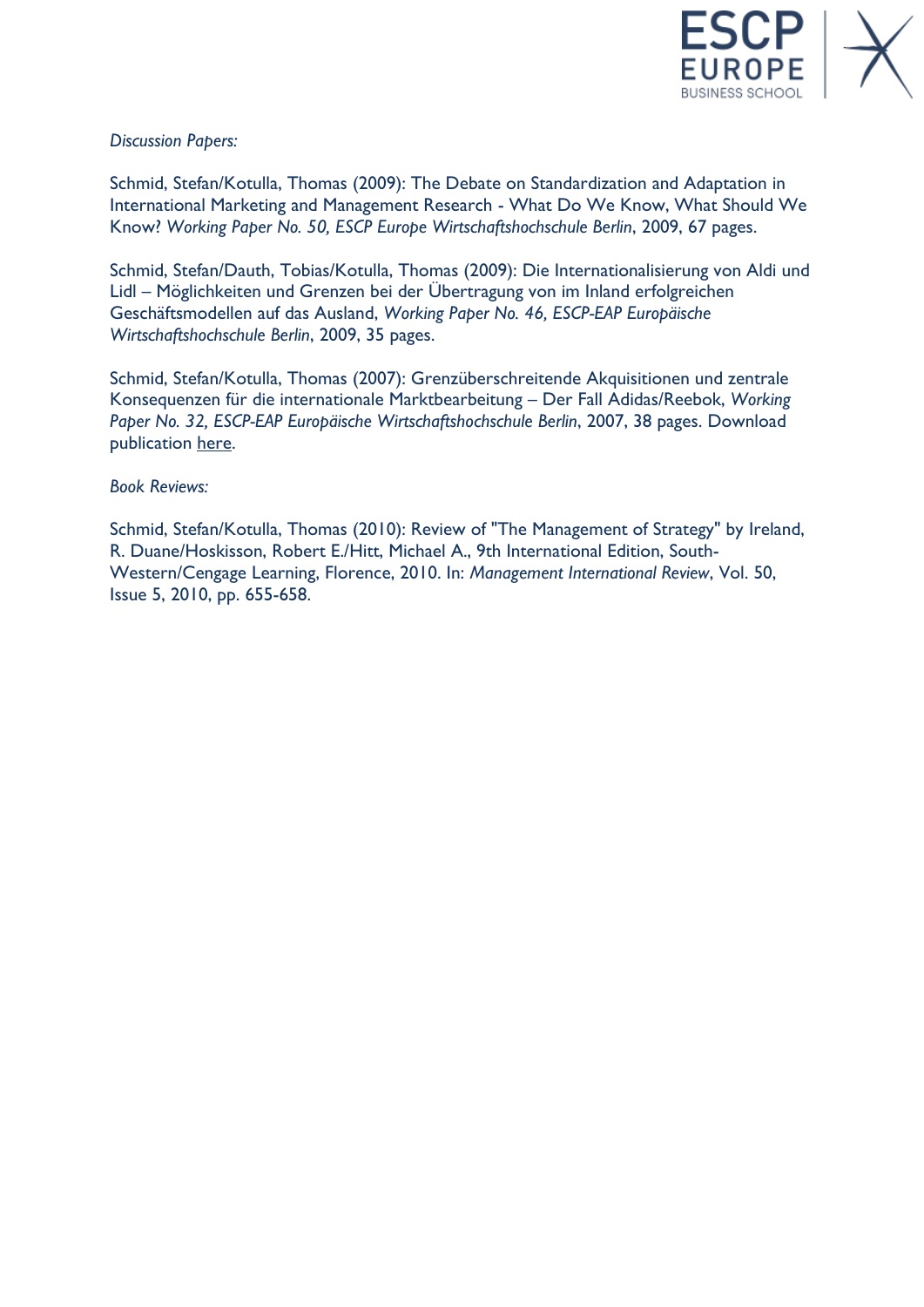

### *Discussion Papers:*

Schmid, Stefan/Kotulla, Thomas (2009): The Debate on Standardization and Adaptation in International Marketing and Management Research - What Do We Know, What Should We Know? *Working Paper No. 50, ESCP Europe Wirtschaftshochschule Berlin*, 2009, 67 pages.

Schmid, Stefan/Dauth, Tobias/Kotulla, Thomas (2009): Die Internationalisierung von Aldi und Lidl – Möglichkeiten und Grenzen bei der Übertragung von im Inland erfolgreichen Geschäftsmodellen auf das Ausland, *Working Paper No. 46, ESCP-EAP Europäische Wirtschaftshochschule Berlin*, 2009, 35 pages.

Schmid, Stefan/Kotulla, Thomas (2007): Grenzüberschreitende Akquisitionen und zentrale Konsequenzen für die internationale Marktbearbeitung – Der Fall Adidas/Reebok, *Working Paper No. 32, ESCP-EAP Europäische Wirtschaftshochschule Berlin*, 2007, 38 pages. Download publication [here.](http://www.escp-eap.eu/uploads/media/SS_WP_09.pdf)

#### *Book Reviews:*

Schmid, Stefan/Kotulla, Thomas (2010): Review of "The Management of Strategy" by Ireland, R. Duane/Hoskisson, Robert E./Hitt, Michael A., 9th International Edition, South-Western/Cengage Learning, Florence, 2010. In: *Management International Review*, Vol. 50, Issue 5, 2010, pp. 655-658.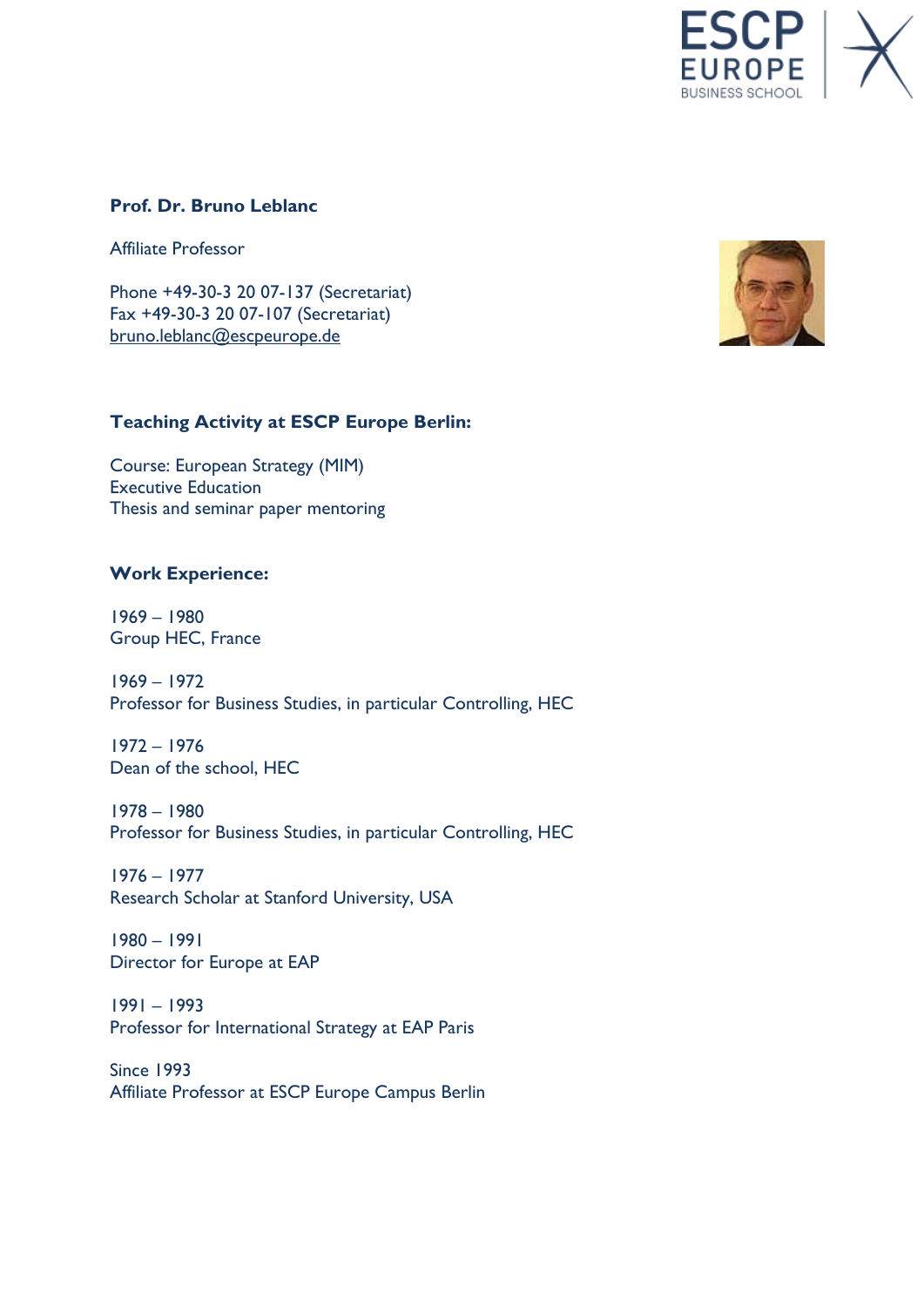**JSINESS SCHOOL** 

### **Prof. Dr. Bruno Leblanc**

Affiliate Professor

Phone +49-30-3 20 07-137 (Secretariat) Fax +49-30-3 20 07-107 (Secretariat) [bruno.leblanc@escpeurope.de](mailto:bruno.leblanc@escpeurope.de)

## **Teaching Activity at ESCP Europe Berlin:**

Course: European Strategy (MIM) Executive Education Thesis and seminar paper mentoring

### **Work Experience:**

1969 – 1980 Group HEC, France

1969 – 1972 Professor for Business Studies, in particular Controlling, HEC

1972 – 1976 Dean of the school, HEC

1978 – 1980 Professor for Business Studies, in particular Controlling, HEC

1976 – 1977 Research Scholar at Stanford University, USA

1980 – 1991 Director for Europe at EAP

1991 – 1993 Professor for International Strategy at EAP Paris

Since 1993 Affiliate Professor at ESCP Europe Campus Berlin